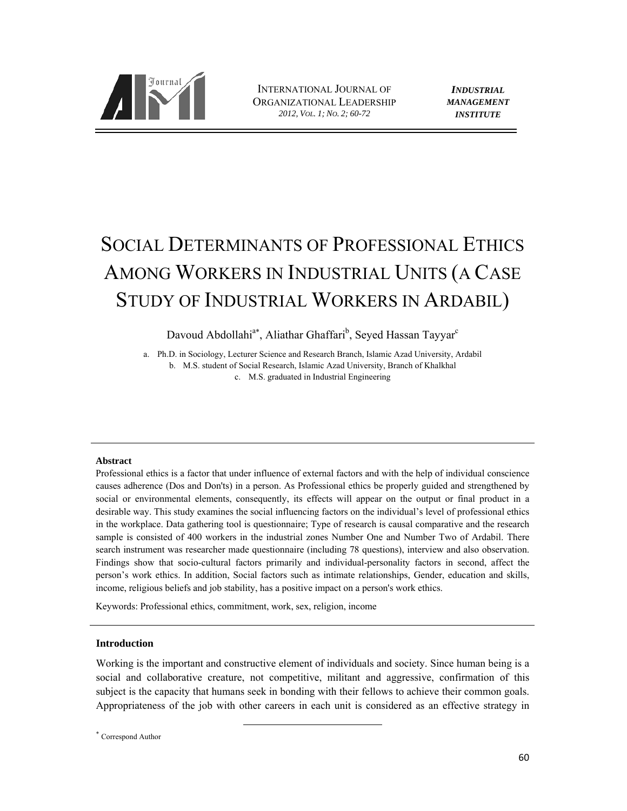

INTERNATIONAL JOURNAL OF ORGANIZATIONAL LEADERSHIP *2012, VOL. 1; NO. 2; 60-72*

*INDUSTRIAL MANAGEMENT INSTITUTE*

# SOCIAL DETERMINANTS OF PROFESSIONAL ETHICS AMONG WORKERS IN INDUSTRIAL UNITS (A CASE STUDY OF INDUSTRIAL WORKERS IN ARDABIL)

Davoud Abdollahi<sup>a\*</sup>, Aliathar Ghaffari<sup>b</sup>, Seyed Hassan Tayyar<sup>c</sup>

a. Ph.D. in Sociology, Lecturer Science and Research Branch, Islamic Azad University, Ardabil b. M.S. student of Social Research, Islamic Azad University, Branch of Khalkhal c. M.S. graduated in Industrial Engineering

## **Abstract**

Professional ethics is a factor that under influence of external factors and with the help of individual conscience causes adherence (Dos and Don'ts) in a person. As Professional ethics be properly guided and strengthened by social or environmental elements, consequently, its effects will appear on the output or final product in a desirable way. This study examines the social influencing factors on the individual's level of professional ethics in the workplace. Data gathering tool is questionnaire; Type of research is causal comparative and the research sample is consisted of 400 workers in the industrial zones Number One and Number Two of Ardabil. There search instrument was researcher made questionnaire (including 78 questions), interview and also observation. Findings show that socio-cultural factors primarily and individual-personality factors in second, affect the person's work ethics. In addition, Social factors such as intimate relationships, Gender, education and skills, income, religious beliefs and job stability, has a positive impact on a person's work ethics.

Keywords: Professional ethics, commitment, work, sex, religion, income

## **Introduction**

Working is the important and constructive element of individuals and society. Since human being is a social and collaborative creature, not competitive, militant and aggressive, confirmation of this subject is the capacity that humans seek in bonding with their fellows to achieve their common goals. Appropriateness of the job with other careers in each unit is considered as an effective strategy in

Correspond Author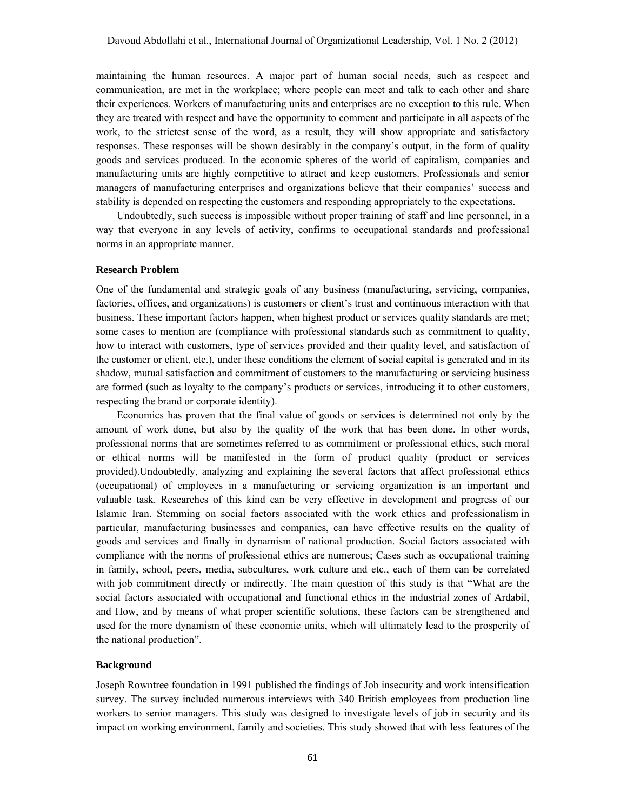maintaining the human resources. A major part of human social needs, such as respect and communication, are met in the workplace; where people can meet and talk to each other and share their experiences. Workers of manufacturing units and enterprises are no exception to this rule. When they are treated with respect and have the opportunity to comment and participate in all aspects of the work, to the strictest sense of the word, as a result, they will show appropriate and satisfactory responses. These responses will be shown desirably in the company's output, in the form of quality goods and services produced. In the economic spheres of the world of capitalism, companies and manufacturing units are highly competitive to attract and keep customers. Professionals and senior managers of manufacturing enterprises and organizations believe that their companies' success and stability is depended on respecting the customers and responding appropriately to the expectations.

Undoubtedly, such success is impossible without proper training of staff and line personnel, in a way that everyone in any levels of activity, confirms to occupational standards and professional norms in an appropriate manner.

# **Research Problem**

One of the fundamental and strategic goals of any business (manufacturing, servicing, companies, factories, offices, and organizations) is customers or client's trust and continuous interaction with that business. These important factors happen, when highest product or services quality standards are met; some cases to mention are (compliance with professional standards such as commitment to quality, how to interact with customers, type of services provided and their quality level, and satisfaction of the customer or client, etc.), under these conditions the element of social capital is generated and in its shadow, mutual satisfaction and commitment of customers to the manufacturing or servicing business are formed (such as loyalty to the company's products or services, introducing it to other customers, respecting the brand or corporate identity).

Economics has proven that the final value of goods or services is determined not only by the amount of work done, but also by the quality of the work that has been done. In other words, professional norms that are sometimes referred to as commitment or professional ethics, such moral or ethical norms will be manifested in the form of product quality (product or services provided).Undoubtedly, analyzing and explaining the several factors that affect professional ethics (occupational) of employees in a manufacturing or servicing organization is an important and valuable task. Researches of this kind can be very effective in development and progress of our Islamic Iran. Stemming on social factors associated with the work ethics and professionalism in particular, manufacturing businesses and companies, can have effective results on the quality of goods and services and finally in dynamism of national production. Social factors associated with compliance with the norms of professional ethics are numerous; Cases such as occupational training in family, school, peers, media, subcultures, work culture and etc., each of them can be correlated with job commitment directly or indirectly. The main question of this study is that "What are the social factors associated with occupational and functional ethics in the industrial zones of Ardabil, and How, and by means of what proper scientific solutions, these factors can be strengthened and used for the more dynamism of these economic units, which will ultimately lead to the prosperity of the national production".

# **Background**

Joseph Rowntree foundation in 1991 published the findings of Job insecurity and work intensification survey. The survey included numerous interviews with 340 British employees from production line workers to senior managers. This study was designed to investigate levels of job in security and its impact on working environment, family and societies. This study showed that with less features of the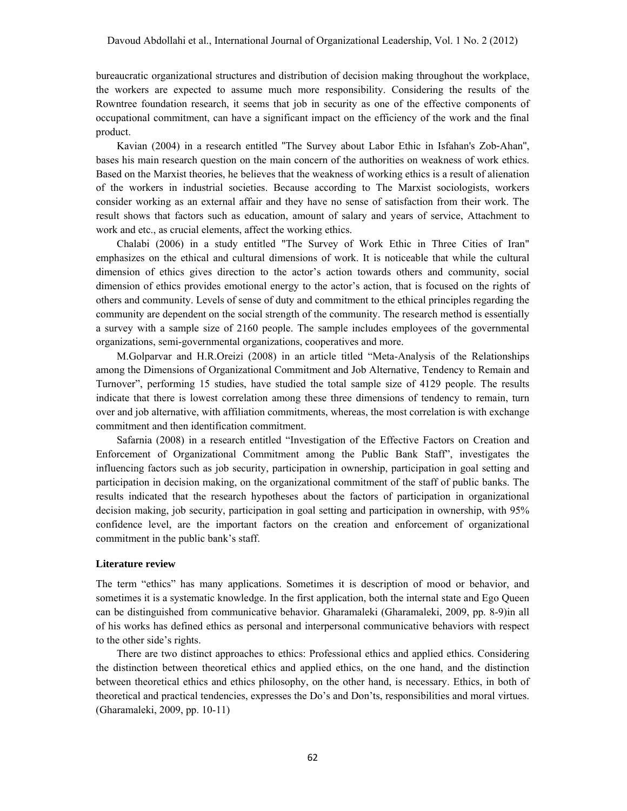bureaucratic organizational structures and distribution of decision making throughout the workplace, the workers are expected to assume much more responsibility. Considering the results of the Rowntree foundation research, it seems that job in security as one of the effective components of occupational commitment, can have a significant impact on the efficiency of the work and the final product.

Kavian (2004) in a research entitled "The Survey about Labor Ethic in Isfahan's Zob-Ahan", bases his main research question on the main concern of the authorities on weakness of work ethics. Based on the Marxist theories, he believes that the weakness of working ethics is a result of alienation of the workers in industrial societies. Because according to The Marxist sociologists, workers consider working as an external affair and they have no sense of satisfaction from their work. The result shows that factors such as education, amount of salary and years of service, Attachment to work and etc., as crucial elements, affect the working ethics.

Chalabi (2006) in a study entitled "The Survey of Work Ethic in Three Cities of Iran" emphasizes on the ethical and cultural dimensions of work. It is noticeable that while the cultural dimension of ethics gives direction to the actor's action towards others and community, social dimension of ethics provides emotional energy to the actor's action, that is focused on the rights of others and community. Levels of sense of duty and commitment to the ethical principles regarding the community are dependent on the social strength of the community. The research method is essentially a survey with a sample size of 2160 people. The sample includes employees of the governmental organizations, semi-governmental organizations, cooperatives and more.

M.Golparvar and H.R.Oreizi (2008) in an article titled "Meta-Analysis of the Relationships among the Dimensions of Organizational Commitment and Job Alternative, Tendency to Remain and Turnover", performing 15 studies, have studied the total sample size of 4129 people. The results indicate that there is lowest correlation among these three dimensions of tendency to remain, turn over and job alternative, with affiliation commitments, whereas, the most correlation is with exchange commitment and then identification commitment.

Safarnia (2008) in a research entitled "Investigation of the Effective Factors on Creation and Enforcement of Organizational Commitment among the Public Bank Staff", investigates the influencing factors such as job security, participation in ownership, participation in goal setting and participation in decision making, on the organizational commitment of the staff of public banks. The results indicated that the research hypotheses about the factors of participation in organizational decision making, job security, participation in goal setting and participation in ownership, with 95% confidence level, are the important factors on the creation and enforcement of organizational commitment in the public bank's staff.

## **Literature review**

The term "ethics" has many applications. Sometimes it is description of mood or behavior, and sometimes it is a systematic knowledge. In the first application, both the internal state and Ego Queen can be distinguished from communicative behavior. Gharamaleki (Gharamaleki, 2009, pp. 8-9)in all of his works has defined ethics as personal and interpersonal communicative behaviors with respect to the other side's rights.

There are two distinct approaches to ethics: Professional ethics and applied ethics. Considering the distinction between theoretical ethics and applied ethics, on the one hand, and the distinction between theoretical ethics and ethics philosophy, on the other hand, is necessary. Ethics, in both of theoretical and practical tendencies, expresses the Do's and Don'ts, responsibilities and moral virtues. (Gharamaleki, 2009, pp. 10-11)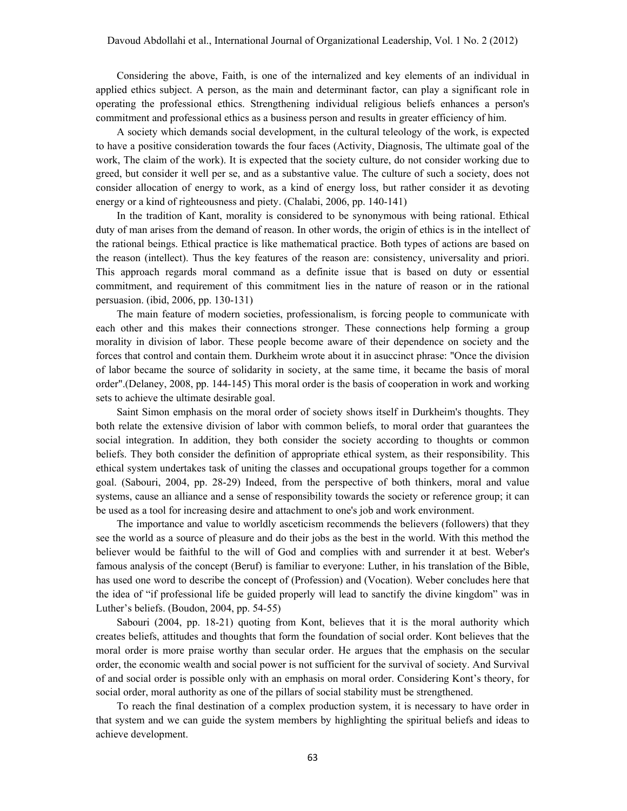Considering the above, Faith, is one of the internalized and key elements of an individual in applied ethics subject. A person, as the main and determinant factor, can play a significant role in operating the professional ethics. Strengthening individual religious beliefs enhances a person's commitment and professional ethics as a business person and results in greater efficiency of him.

A society which demands social development, in the cultural teleology of the work, is expected to have a positive consideration towards the four faces (Activity, Diagnosis, The ultimate goal of the work, The claim of the work). It is expected that the society culture, do not consider working due to greed, but consider it well per se, and as a substantive value. The culture of such a society, does not consider allocation of energy to work, as a kind of energy loss, but rather consider it as devoting energy or a kind of righteousness and piety. (Chalabi, 2006, pp. 140-141)

In the tradition of Kant, morality is considered to be synonymous with being rational. Ethical duty of man arises from the demand of reason. In other words, the origin of ethics is in the intellect of the rational beings. Ethical practice is like mathematical practice. Both types of actions are based on the reason (intellect). Thus the key features of the reason are: consistency, universality and priori. This approach regards moral command as a definite issue that is based on duty or essential commitment, and requirement of this commitment lies in the nature of reason or in the rational persuasion. (ibid, 2006, pp. 130-131)

The main feature of modern societies, professionalism, is forcing people to communicate with each other and this makes their connections stronger. These connections help forming a group morality in division of labor. These people become aware of their dependence on society and the forces that control and contain them. Durkheim wrote about it in asuccinct phrase: "Once the division of labor became the source of solidarity in society, at the same time, it became the basis of moral order".(Delaney, 2008, pp. 144-145) This moral order is the basis of cooperation in work and working sets to achieve the ultimate desirable goal.

Saint Simon emphasis on the moral order of society shows itself in Durkheim's thoughts. They both relate the extensive division of labor with common beliefs, to moral order that guarantees the social integration. In addition, they both consider the society according to thoughts or common beliefs. They both consider the definition of appropriate ethical system, as their responsibility. This ethical system undertakes task of uniting the classes and occupational groups together for a common goal. (Sabouri, 2004, pp. 28-29) Indeed, from the perspective of both thinkers, moral and value systems, cause an alliance and a sense of responsibility towards the society or reference group; it can be used as a tool for increasing desire and attachment to one's job and work environment.

The importance and value to worldly asceticism recommends the believers (followers) that they see the world as a source of pleasure and do their jobs as the best in the world. With this method the believer would be faithful to the will of God and complies with and surrender it at best. Weber's famous analysis of the concept (Beruf) is familiar to everyone: Luther, in his translation of the Bible, has used one word to describe the concept of (Profession) and (Vocation). Weber concludes here that the idea of "if professional life be guided properly will lead to sanctify the divine kingdom" was in Luther's beliefs. (Boudon, 2004, pp. 54-55)

Sabouri (2004, pp. 18-21) quoting from Kont, believes that it is the moral authority which creates beliefs, attitudes and thoughts that form the foundation of social order. Kont believes that the moral order is more praise worthy than secular order. He argues that the emphasis on the secular order, the economic wealth and social power is not sufficient for the survival of society. And Survival of and social order is possible only with an emphasis on moral order. Considering Kont's theory, for social order, moral authority as one of the pillars of social stability must be strengthened.

To reach the final destination of a complex production system, it is necessary to have order in that system and we can guide the system members by highlighting the spiritual beliefs and ideas to achieve development.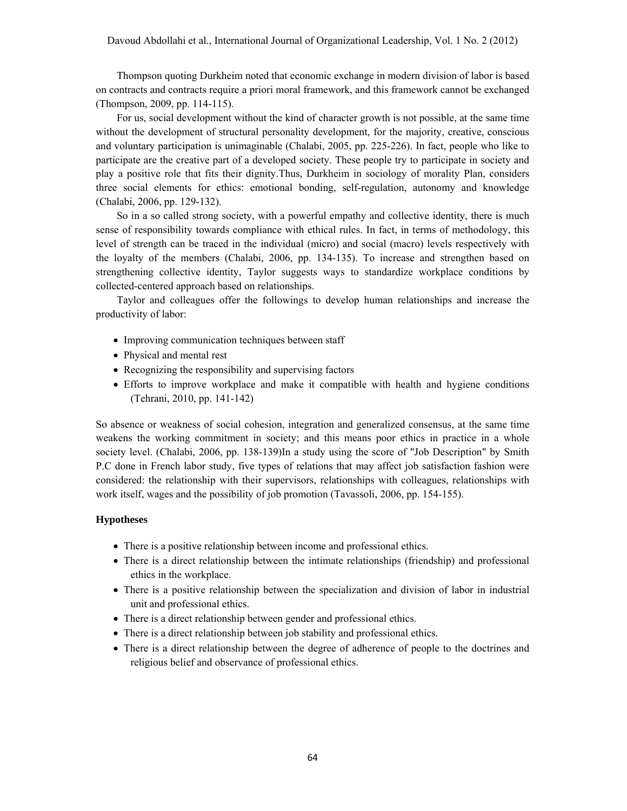Thompson quoting Durkheim noted that economic exchange in modern division of labor is based on contracts and contracts require a priori moral framework, and this framework cannot be exchanged (Thompson, 2009, pp. 114-115).

For us, social development without the kind of character growth is not possible, at the same time without the development of structural personality development, for the majority, creative, conscious and voluntary participation is unimaginable (Chalabi, 2005, pp. 225-226). In fact, people who like to participate are the creative part of a developed society. These people try to participate in society and play a positive role that fits their dignity.Thus, Durkheim in sociology of morality Plan, considers three social elements for ethics: emotional bonding, self-regulation, autonomy and knowledge (Chalabi, 2006, pp. 129-132).

So in a so called strong society, with a powerful empathy and collective identity, there is much sense of responsibility towards compliance with ethical rules. In fact, in terms of methodology, this level of strength can be traced in the individual (micro) and social (macro) levels respectively with the loyalty of the members (Chalabi, 2006, pp. 134-135). To increase and strengthen based on strengthening collective identity, Taylor suggests ways to standardize workplace conditions by collected-centered approach based on relationships.

Taylor and colleagues offer the followings to develop human relationships and increase the productivity of labor:

- Improving communication techniques between staff
- Physical and mental rest
- Recognizing the responsibility and supervising factors
- Efforts to improve workplace and make it compatible with health and hygiene conditions (Tehrani, 2010, pp. 141-142)

So absence or weakness of social cohesion, integration and generalized consensus, at the same time weakens the working commitment in society; and this means poor ethics in practice in a whole society level. (Chalabi, 2006, pp. 138-139)In a study using the score of "Job Description" by Smith P.C done in French labor study, five types of relations that may affect job satisfaction fashion were considered: the relationship with their supervisors, relationships with colleagues, relationships with work itself, wages and the possibility of job promotion (Tavassoli, 2006, pp. 154-155).

## **Hypotheses**

- There is a positive relationship between income and professional ethics.
- There is a direct relationship between the intimate relationships (friendship) and professional ethics in the workplace.
- There is a positive relationship between the specialization and division of labor in industrial unit and professional ethics.
- There is a direct relationship between gender and professional ethics.
- There is a direct relationship between job stability and professional ethics.
- There is a direct relationship between the degree of adherence of people to the doctrines and religious belief and observance of professional ethics.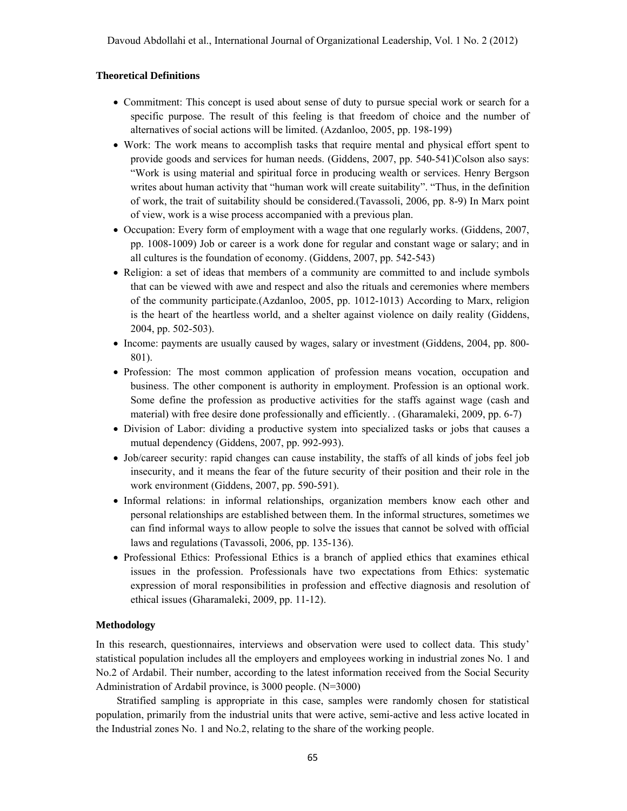## **Theoretical Definitions**

- Commitment: This concept is used about sense of duty to pursue special work or search for a specific purpose. The result of this feeling is that freedom of choice and the number of alternatives of social actions will be limited. (Azdanloo, 2005, pp. 198-199)
- Work: The work means to accomplish tasks that require mental and physical effort spent to provide goods and services for human needs. (Giddens, 2007, pp. 540-541)Colson also says: "Work is using material and spiritual force in producing wealth or services. Henry Bergson writes about human activity that "human work will create suitability". "Thus, in the definition of work, the trait of suitability should be considered.(Tavassoli, 2006, pp. 8-9) In Marx point of view, work is a wise process accompanied with a previous plan.
- Occupation: Every form of employment with a wage that one regularly works. (Giddens, 2007, pp. 1008-1009) Job or career is a work done for regular and constant wage or salary; and in all cultures is the foundation of economy. (Giddens, 2007, pp. 542-543)
- Religion: a set of ideas that members of a community are committed to and include symbols that can be viewed with awe and respect and also the rituals and ceremonies where members of the community participate.(Azdanloo, 2005, pp. 1012-1013) According to Marx, religion is the heart of the heartless world, and a shelter against violence on daily reality (Giddens, 2004, pp. 502-503).
- Income: payments are usually caused by wages, salary or investment (Giddens, 2004, pp. 800- 801).
- Profession: The most common application of profession means vocation, occupation and business. The other component is authority in employment. Profession is an optional work. Some define the profession as productive activities for the staffs against wage (cash and material) with free desire done professionally and efficiently. . (Gharamaleki, 2009, pp. 6-7)
- Division of Labor: dividing a productive system into specialized tasks or jobs that causes a mutual dependency (Giddens, 2007, pp. 992-993).
- Job/career security: rapid changes can cause instability, the staffs of all kinds of jobs feel job insecurity, and it means the fear of the future security of their position and their role in the work environment (Giddens, 2007, pp. 590-591).
- Informal relations: in informal relationships, organization members know each other and personal relationships are established between them. In the informal structures, sometimes we can find informal ways to allow people to solve the issues that cannot be solved with official laws and regulations (Tavassoli, 2006, pp. 135-136).
- Professional Ethics: Professional Ethics is a branch of applied ethics that examines ethical issues in the profession. Professionals have two expectations from Ethics: systematic expression of moral responsibilities in profession and effective diagnosis and resolution of ethical issues (Gharamaleki, 2009, pp. 11-12).

# **Methodology**

In this research, questionnaires, interviews and observation were used to collect data. This study' statistical population includes all the employers and employees working in industrial zones No. 1 and No.2 of Ardabil. Their number, according to the latest information received from the Social Security Administration of Ardabil province, is 3000 people. (N=3000)

Stratified sampling is appropriate in this case, samples were randomly chosen for statistical population, primarily from the industrial units that were active, semi-active and less active located in the Industrial zones No. 1 and No.2, relating to the share of the working people.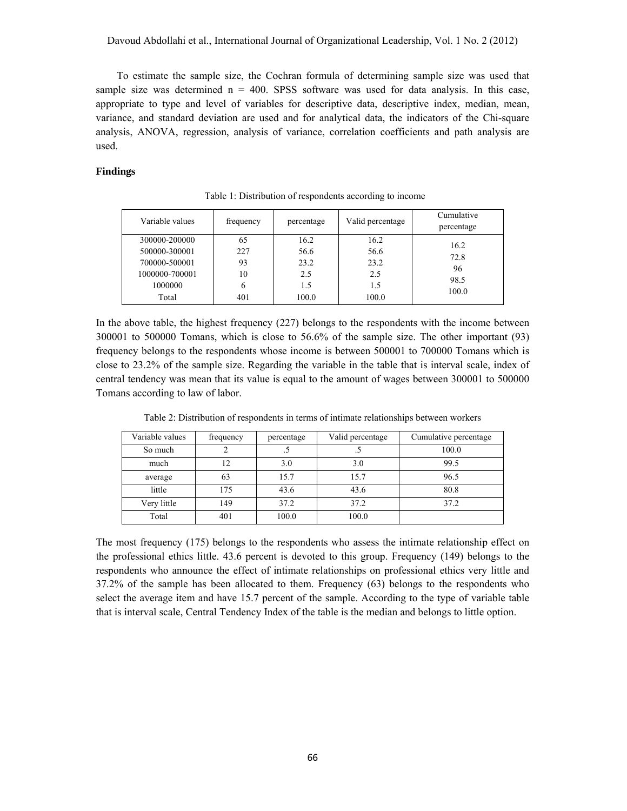To estimate the sample size, the Cochran formula of determining sample size was used that sample size was determined  $n = 400$ . SPSS software was used for data analysis. In this case, appropriate to type and level of variables for descriptive data, descriptive index, median, mean, variance, and standard deviation are used and for analytical data, the indicators of the Chi-square analysis, ANOVA, regression, analysis of variance, correlation coefficients and path analysis are used.

# **Findings**

| Variable values | frequency | percentage | Valid percentage | Cumulative<br>percentage |
|-----------------|-----------|------------|------------------|--------------------------|
| 300000-200000   | 65        | 16.2       | 16.2             | 16.2                     |
| 500000-300001   | 227       | 56.6       | 56.6             | 72.8                     |
| 700000-500001   | 93        | 23.2       | 23.2             | 96                       |
| 1000000-700001  | 10        | 2.5        | 2.5              | 98.5                     |
| 1000000         | 6         | 1.5        | 1.5              | 100.0                    |
| Total           | 401       | 100.0      | 100.0            |                          |

Table 1: Distribution of respondents according to income

In the above table, the highest frequency (227) belongs to the respondents with the income between 300001 to 500000 Tomans, which is close to 56.6% of the sample size. The other important (93) frequency belongs to the respondents whose income is between 500001 to 700000 Tomans which is close to 23.2% of the sample size. Regarding the variable in the table that is interval scale, index of central tendency was mean that its value is equal to the amount of wages between 300001 to 500000 Tomans according to law of labor.

| Variable values | frequency | percentage | Valid percentage | Cumulative percentage |
|-----------------|-----------|------------|------------------|-----------------------|
| So much         |           |            |                  | 100.0                 |
| much            | 12        | 3.0        | 3.0              | 99.5                  |
| average         | 63        | 15.7       | 15.7             | 96.5                  |
| little          | 175       | 43.6       | 43.6             | 80.8                  |
| Very little     | 149       | 37.2       | 37.2             | 37.2                  |
| Total           | 401       | 100.0      | 100.0            |                       |

Table 2: Distribution of respondents in terms of intimate relationships between workers

The most frequency (175) belongs to the respondents who assess the intimate relationship effect on the professional ethics little. 43.6 percent is devoted to this group. Frequency (149) belongs to the respondents who announce the effect of intimate relationships on professional ethics very little and 37.2% of the sample has been allocated to them. Frequency (63) belongs to the respondents who select the average item and have 15.7 percent of the sample. According to the type of variable table that is interval scale, Central Tendency Index of the table is the median and belongs to little option.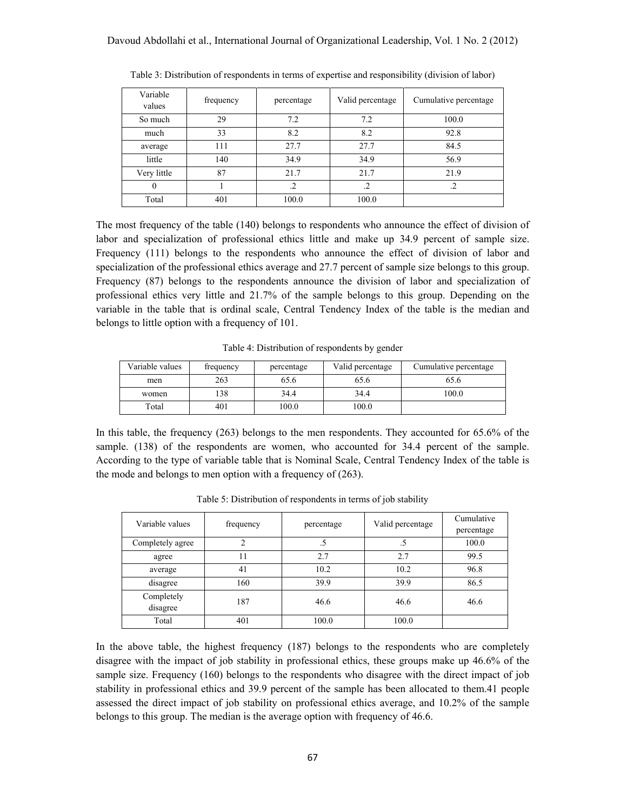| Variable<br>values | frequency | percentage | Valid percentage | Cumulative percentage |
|--------------------|-----------|------------|------------------|-----------------------|
| So much            | 29        | 7.2        | 7.2              | 100.0                 |
| much               | 33        | 8.2        | 8.2              | 92.8                  |
| average            | 111       | 27.7       | 27.7             | 84.5                  |
| little             | 140       | 34.9       | 34.9             | 56.9                  |
| Very little        | 87        | 21.7       | 21.7             | 21.9                  |
| 0                  |           | $\cdot$    | $\cdot$          | $\cdot$ 2             |
| Total              | 401       | 100.0      | 100.0            |                       |

Table 3: Distribution of respondents in terms of expertise and responsibility (division of labor)

The most frequency of the table (140) belongs to respondents who announce the effect of division of labor and specialization of professional ethics little and make up 34.9 percent of sample size. Frequency (111) belongs to the respondents who announce the effect of division of labor and specialization of the professional ethics average and 27.7 percent of sample size belongs to this group. Frequency (87) belongs to the respondents announce the division of labor and specialization of professional ethics very little and 21.7% of the sample belongs to this group. Depending on the variable in the table that is ordinal scale, Central Tendency Index of the table is the median and belongs to little option with a frequency of 101.

Table 4: Distribution of respondents by gender

| Variable values | frequency | percentage | Valid percentage | Cumulative percentage |
|-----------------|-----------|------------|------------------|-----------------------|
| men             | 263       | 65.6       | 65.6             | 65.6                  |
| women           | 138       | 34.4       | 34.4             | 100.0                 |
| Total           | 401       | 100.0      | 100.0            |                       |

In this table, the frequency (263) belongs to the men respondents. They accounted for 65.6% of the sample. (138) of the respondents are women, who accounted for 34.4 percent of the sample. According to the type of variable table that is Nominal Scale, Central Tendency Index of the table is the mode and belongs to men option with a frequency of (263).

| Variable values        | frequency | percentage | Valid percentage | Cumulative<br>percentage |
|------------------------|-----------|------------|------------------|--------------------------|
| Completely agree       |           |            | ر.               | 100.0                    |
| agree                  |           | 2.7        | 2.7              | 99.5                     |
| average                | 41        | 10.2       | 10.2             | 96.8                     |
| disagree               | 160       | 39.9       | 39.9             | 86.5                     |
| Completely<br>disagree | 187       | 46.6       | 46.6             | 46.6                     |
| Total                  | 401       | 100.0      | 100.0            |                          |

Table 5: Distribution of respondents in terms of job stability

In the above table, the highest frequency (187) belongs to the respondents who are completely disagree with the impact of job stability in professional ethics, these groups make up 46.6% of the sample size. Frequency (160) belongs to the respondents who disagree with the direct impact of job stability in professional ethics and 39.9 percent of the sample has been allocated to them.41 people assessed the direct impact of job stability on professional ethics average, and 10.2% of the sample belongs to this group. The median is the average option with frequency of 46.6.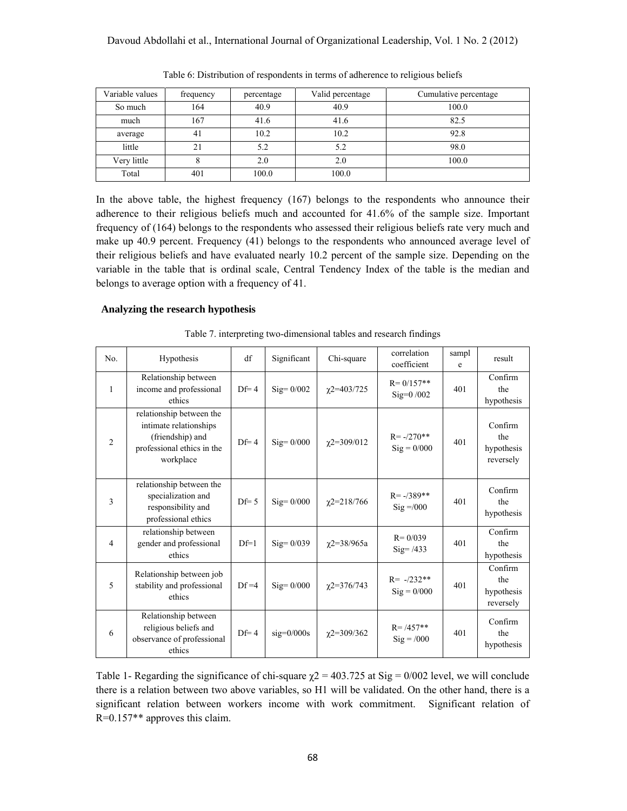| Variable values | frequency | percentage | Valid percentage | Cumulative percentage |
|-----------------|-----------|------------|------------------|-----------------------|
| So much         | 164       | 40.9       | 40.9             | 100.0                 |
| much            | 167       | 41.6       | 41.6             | 82.5                  |
| average         | 41        | 10.2       | 10.2             | 92.8                  |
| little          |           | 5.2        | 5.2              | 98.0                  |
| Very little     |           | 2.0        | 2.0              | 100.0                 |
| Total           | 401       | 100.0      | 100.0            |                       |

Table 6: Distribution of respondents in terms of adherence to religious beliefs

In the above table, the highest frequency (167) belongs to the respondents who announce their adherence to their religious beliefs much and accounted for 41.6% of the sample size. Important frequency of (164) belongs to the respondents who assessed their religious beliefs rate very much and make up 40.9 percent. Frequency (41) belongs to the respondents who announced average level of their religious beliefs and have evaluated nearly 10.2 percent of the sample size. Depending on the variable in the table that is ordinal scale, Central Tendency Index of the table is the median and belongs to average option with a frequency of 41.

## **Analyzing the research hypothesis**

| No.            | Hypothesis                                                                                                        | df              | Significant        | Chi-square       | correlation<br>coefficient            | sampl<br>e | result                                    |
|----------------|-------------------------------------------------------------------------------------------------------------------|-----------------|--------------------|------------------|---------------------------------------|------------|-------------------------------------------|
| $\mathbf{1}$   | Relationship between<br>income and professional<br>ethics                                                         | $Df=4$          | $\text{Sig}=0/002$ | $\chi$ 2=403/725 | $R = 0/157**$<br>$Sig=0/002$          | 401        | Confirm<br>the<br>hypothesis              |
| 2              | relationship between the<br>intimate relationships<br>(friendship) and<br>professional ethics in the<br>workplace | $Df=4$          | $\text{Sig}=0/000$ | $\chi$ 2=309/012 | $R = -/270**$<br>$\text{Sig} = 0/000$ | 401        | Confirm<br>the<br>hypothesis<br>reversely |
| 3              | relationship between the<br>specialization and<br>responsibility and<br>professional ethics                       | $\text{Df} = 5$ | $Sig=0/000$        | $\chi$ 2=218/766 | $R = -389**$<br>$\text{Sig} = 0.00$   | 401        | Confirm<br>the<br>hypothesis              |
| $\overline{4}$ | relationship between<br>gender and professional<br>ethics                                                         | $Df=1$          | $Sig=0/039$        | $\chi$ 2=38/965a | $R = 0/039$<br>$\text{Sig} = 7433$    | 401        | Confirm<br>the<br>hypothesis              |
| 5              | Relationship between job<br>stability and professional<br>ethics                                                  | $Df = 4$        | $Sig=0/000$        | $\chi$ 2=376/743 | $R = -/232**$<br>$\text{Sig} = 0/000$ | 401        | Confirm<br>the<br>hypothesis<br>reversely |
| 6              | Relationship between<br>religious beliefs and<br>observance of professional<br>ethics                             | $Df=4$          | $sig=0/000s$       | $\chi$ 2=309/362 | $R = 7457**$<br>$\text{Sig} = /000$   | 401        | Confirm<br>the<br>hypothesis              |

Table 7. interpreting two-dimensional tables and research findings

Table 1- Regarding the significance of chi-square  $\chi$ 2 = 403.725 at Sig = 0/002 level, we will conclude there is a relation between two above variables, so H1 will be validated. On the other hand, there is a significant relation between workers income with work commitment. Significant relation of R=0.157\*\* approves this claim.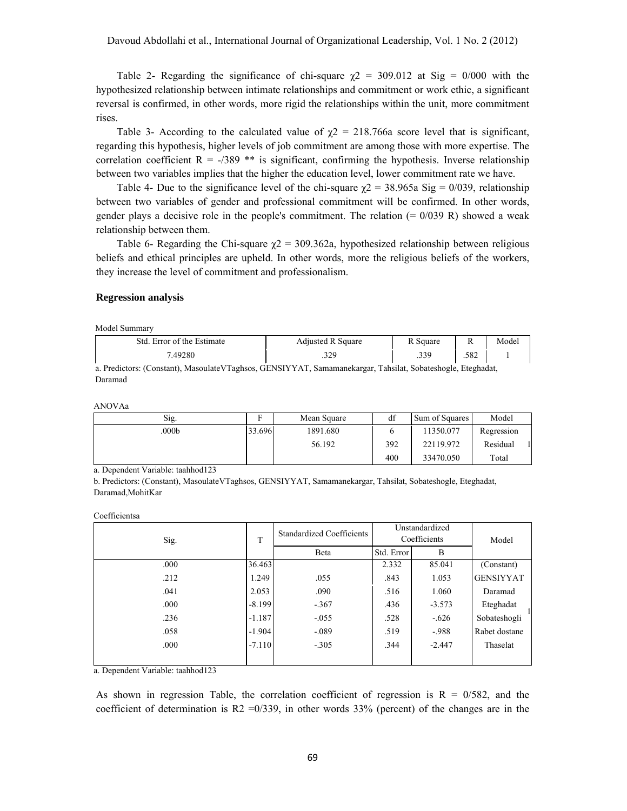Table 2- Regarding the significance of chi-square  $\chi$ 2 = 309.012 at Sig = 0/000 with the hypothesized relationship between intimate relationships and commitment or work ethic, a significant reversal is confirmed, in other words, more rigid the relationships within the unit, more commitment rises.

Table 3- According to the calculated value of  $\gamma$ 2 = 218.766a score level that is significant, regarding this hypothesis, higher levels of job commitment are among those with more expertise. The correlation coefficient  $R = -/389$  \*\* is significant, confirming the hypothesis. Inverse relationship between two variables implies that the higher the education level, lower commitment rate we have.

Table 4- Due to the significance level of the chi-square  $\gamma$ 2 = 38.965a Sig = 0/039, relationship between two variables of gender and professional commitment will be confirmed. In other words, gender plays a decisive role in the people's commitment. The relation  $(= 0/039 \text{ R})$  showed a weak relationship between them.

Table 6- Regarding the Chi-square  $\gamma$ 2 = 309.362a, hypothesized relationship between religious beliefs and ethical principles are upheld. In other words, more the religious beliefs of the workers, they increase the level of commitment and professionalism.

# **Regression analysis**

Model Summary

| Std. Error of the Estimate | <b>Adjusted R Square</b> | R Square       |      | Model |
|----------------------------|--------------------------|----------------|------|-------|
| 7.49280                    | າາດ<br>. ے د             | 339<br>ر ر ر . | .582 |       |

a. Predictors: (Constant), MasoulateVTaghsos, GENSIYYAT, Samamanekargar, Tahsilat, Sobateshogle, Eteghadat, Daramad

ANOVAa

| Sig.              | Ð      | Mean Square | df  | Sum of Squares | Model      |  |
|-------------------|--------|-------------|-----|----------------|------------|--|
| .000 <sub>b</sub> | 33.696 | 1891.680    |     | 11350.077      | Regression |  |
|                   |        | 56.192      | 392 | 22119.972      | Residual   |  |
|                   |        |             | 400 | 33470.050      | Total      |  |

a. Dependent Variable: taahhod123

b. Predictors: (Constant), MasoulateVTaghsos, GENSIYYAT, Samamanekargar, Tahsilat, Sobateshogle, Eteghadat, Daramad,MohitKar

Coefficientsa

| Sig. | T        | <b>Standardized Coefficients</b> | Unstandardized<br>Coefficients |          | Model            |  |
|------|----------|----------------------------------|--------------------------------|----------|------------------|--|
|      |          | Beta                             | Std. Error                     | B        |                  |  |
| .000 | 36.463   |                                  | 2.332                          | 85.041   | (Constant)       |  |
| .212 | 1.249    | .055                             | .843                           | 1.053    | <b>GENSIYYAT</b> |  |
| .041 | 2.053    | .090                             | .516                           | 1.060    | Daramad          |  |
| .000 | $-8.199$ | $-.367$                          | .436                           | $-3.573$ | Eteghadat        |  |
| .236 | $-1.187$ | $-0.055$                         | .528                           | $-.626$  | Sobateshogli     |  |
| .058 | $-1.904$ | $-.089$                          | .519                           | $-988$   | Rabet dostane    |  |
| .000 | $-7.110$ | $-.305$                          | .344                           | $-2.447$ | Thaselat         |  |
|      |          |                                  |                                |          |                  |  |

a. Dependent Variable: taahhod123

As shown in regression Table, the correlation coefficient of regression is  $R = 0/582$ , and the coefficient of determination is R2 = 0/339, in other words 33% (percent) of the changes are in the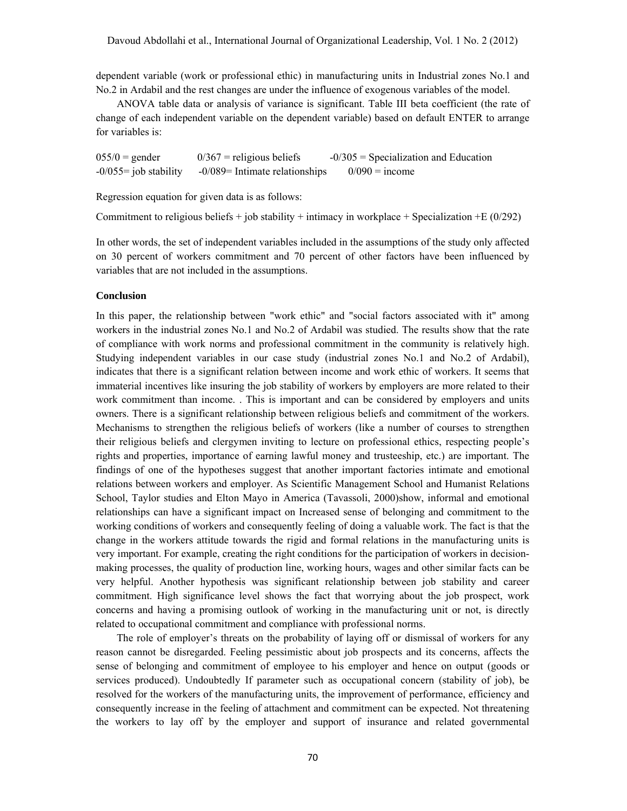dependent variable (work or professional ethic) in manufacturing units in Industrial zones No.1 and No.2 in Ardabil and the rest changes are under the influence of exogenous variables of the model.

ANOVA table data or analysis of variance is significant. Table III beta coefficient (the rate of change of each independent variable on the dependent variable) based on default ENTER to arrange for variables is:

 $0.05/0$  = gender  $0/367$  = religious beliefs  $-0/305$  = Specialization and Education  $-0/055$ = job stability  $-0/089$ = Intimate relationships  $0/090$  = income

Regression equation for given data is as follows:

Commitment to religious beliefs + job stability + intimacy in workplace + Specialization +E  $(0/292)$ 

In other words, the set of independent variables included in the assumptions of the study only affected on 30 percent of workers commitment and 70 percent of other factors have been influenced by variables that are not included in the assumptions.

## **Conclusion**

In this paper, the relationship between "work ethic" and "social factors associated with it" among workers in the industrial zones No.1 and No.2 of Ardabil was studied. The results show that the rate of compliance with work norms and professional commitment in the community is relatively high. Studying independent variables in our case study (industrial zones No.1 and No.2 of Ardabil), indicates that there is a significant relation between income and work ethic of workers. It seems that immaterial incentives like insuring the job stability of workers by employers are more related to their work commitment than income. . This is important and can be considered by employers and units owners. There is a significant relationship between religious beliefs and commitment of the workers. Mechanisms to strengthen the religious beliefs of workers (like a number of courses to strengthen their religious beliefs and clergymen inviting to lecture on professional ethics, respecting people's rights and properties, importance of earning lawful money and trusteeship, etc.) are important. The findings of one of the hypotheses suggest that another important factories intimate and emotional relations between workers and employer. As Scientific Management School and Humanist Relations School, Taylor studies and Elton Mayo in America (Tavassoli, 2000)show, informal and emotional relationships can have a significant impact on Increased sense of belonging and commitment to the working conditions of workers and consequently feeling of doing a valuable work. The fact is that the change in the workers attitude towards the rigid and formal relations in the manufacturing units is very important. For example, creating the right conditions for the participation of workers in decisionmaking processes, the quality of production line, working hours, wages and other similar facts can be very helpful. Another hypothesis was significant relationship between job stability and career commitment. High significance level shows the fact that worrying about the job prospect, work concerns and having a promising outlook of working in the manufacturing unit or not, is directly related to occupational commitment and compliance with professional norms.

The role of employer's threats on the probability of laying off or dismissal of workers for any reason cannot be disregarded. Feeling pessimistic about job prospects and its concerns, affects the sense of belonging and commitment of employee to his employer and hence on output (goods or services produced). Undoubtedly If parameter such as occupational concern (stability of job), be resolved for the workers of the manufacturing units, the improvement of performance, efficiency and consequently increase in the feeling of attachment and commitment can be expected. Not threatening the workers to lay off by the employer and support of insurance and related governmental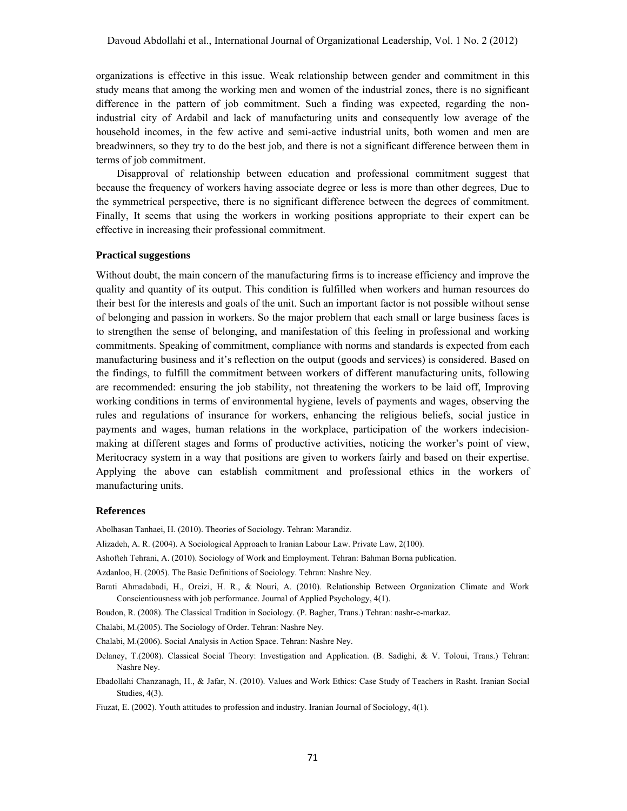organizations is effective in this issue. Weak relationship between gender and commitment in this study means that among the working men and women of the industrial zones, there is no significant difference in the pattern of job commitment. Such a finding was expected, regarding the nonindustrial city of Ardabil and lack of manufacturing units and consequently low average of the household incomes, in the few active and semi-active industrial units, both women and men are breadwinners, so they try to do the best job, and there is not a significant difference between them in terms of job commitment.

Disapproval of relationship between education and professional commitment suggest that because the frequency of workers having associate degree or less is more than other degrees, Due to the symmetrical perspective, there is no significant difference between the degrees of commitment. Finally, It seems that using the workers in working positions appropriate to their expert can be effective in increasing their professional commitment.

## **Practical suggestions**

Without doubt, the main concern of the manufacturing firms is to increase efficiency and improve the quality and quantity of its output. This condition is fulfilled when workers and human resources do their best for the interests and goals of the unit. Such an important factor is not possible without sense of belonging and passion in workers. So the major problem that each small or large business faces is to strengthen the sense of belonging, and manifestation of this feeling in professional and working commitments. Speaking of commitment, compliance with norms and standards is expected from each manufacturing business and it's reflection on the output (goods and services) is considered. Based on the findings, to fulfill the commitment between workers of different manufacturing units, following are recommended: ensuring the job stability, not threatening the workers to be laid off, Improving working conditions in terms of environmental hygiene, levels of payments and wages, observing the rules and regulations of insurance for workers, enhancing the religious beliefs, social justice in payments and wages, human relations in the workplace, participation of the workers indecisionmaking at different stages and forms of productive activities, noticing the worker's point of view, Meritocracy system in a way that positions are given to workers fairly and based on their expertise. Applying the above can establish commitment and professional ethics in the workers of manufacturing units.

## **References**

Abolhasan Tanhaei, H. (2010). Theories of Sociology. Tehran: Marandiz.

Alizadeh, A. R. (2004). A Sociological Approach to Iranian Labour Law. Private Law, 2(100).

Ashofteh Tehrani, A. (2010). Sociology of Work and Employment. Tehran: Bahman Borna publication.

Azdanloo, H. (2005). The Basic Definitions of Sociology. Tehran: Nashre Ney.

Barati Ahmadabadi, H., Oreizi, H. R., & Nouri, A. (2010). Relationship Between Organization Climate and Work Conscientiousness with job performance. Journal of Applied Psychology, 4(1).

Boudon, R. (2008). The Classical Tradition in Sociology. (P. Bagher, Trans.) Tehran: nashr-e-markaz.

Chalabi, M.(2005). The Sociology of Order. Tehran: Nashre Ney.

Chalabi, M.(2006). Social Analysis in Action Space. Tehran: Nashre Ney.

Delaney, T.(2008). Classical Social Theory: Investigation and Application. (B. Sadighi, & V. Toloui, Trans.) Tehran: Nashre Ney.

Ebadollahi Chanzanagh, H., & Jafar, N. (2010). Values and Work Ethics: Case Study of Teachers in Rasht. Iranian Social Studies, 4(3).

Fiuzat, E. (2002). Youth attitudes to profession and industry. Iranian Journal of Sociology, 4(1).